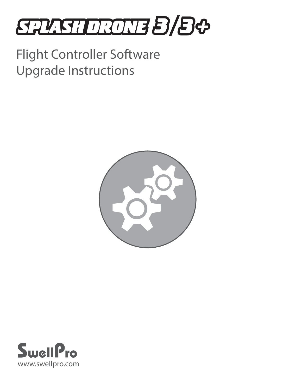# **STASHDRONE B/B&**

## Flight Controller Software Upgrade Instructions



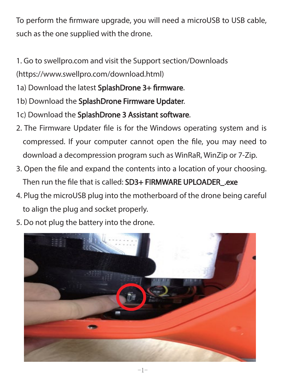To perform the firmware upgrade, you will need a microUSB to USB cable, such as the one supplied with the drone.

1. Go to swellpro.com and visit the Support section/Downloads (https://www.swellpro.com/download.html)

- 1a) Download the latest SplashDrone 3+ firmware.
- 1b) Download the SplashDrone Firmware Updater.
- 1c) Download the SplashDrone 3 Assistant software.
- 2. The Firmware Updater file is for the Windows operating system and is compressed. If your computer cannot open the file, you may need to download a decompression program such as WinRaR, WinZip or 7-Zip.
- 3. Open the file and expand the contents into a location of your choosing. Then run the file that is called: SD3+ FIRMWARE UPLOADER .exe
- 4. Plug the microUSB plug into the motherboard of the drone being careful to align the plug and socket properly.
- 5. Do not plug the battery into the drone.

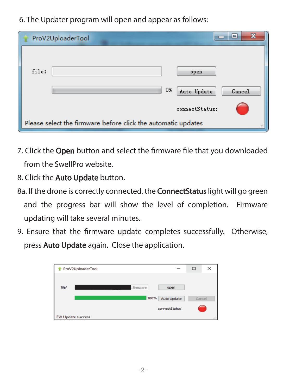6. The Updater program will open and appear as follows:

| ProV2UploaderTool                                                  | x<br>$\overline{a}$         |  |  |  |  |
|--------------------------------------------------------------------|-----------------------------|--|--|--|--|
|                                                                    |                             |  |  |  |  |
| file:                                                              | open                        |  |  |  |  |
|                                                                    | 0%<br>Auto Update<br>Cancel |  |  |  |  |
|                                                                    | connectStatus:              |  |  |  |  |
| Please select the firmware before click the automatic updates<br>Ш |                             |  |  |  |  |

- 7. Click the Open button and select the firmware file that you downloaded from the SwellPro website.
- 8. Click the **Auto Update** button.
- 8a. If the drone is correctly connected, the **ConnectStatus** light will go green and the progress bar will show the level of completion. Firmware updating will take several minutes.
- 9. Ensure that the firmware update completes successfully. Otherwise, press **Auto Update** again. Close the application.

|       | ProV2UploaderTool        | $\overline{\phantom{a}}$ | $\Box$ | $\times$ |
|-------|--------------------------|--------------------------|--------|----------|
|       |                          |                          |        |          |
| file: | .firmware                | open                     |        |          |
|       | 100%                     | <b>Auto Update</b>       | Cancel |          |
|       |                          | connectStatus:           |        |          |
|       | <b>FW Update success</b> |                          |        |          |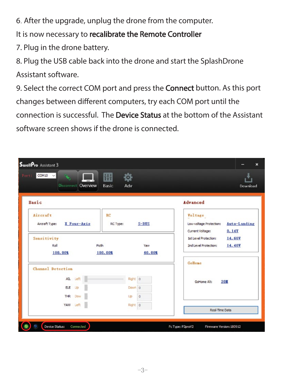6. After the upgrade, unplug the drone from the computer.

It is now necessary to recalibrate the Remote Controller

7. Plug in the drone battery.

8. Plug the USB cable back into the drone and start the SplashDrone Assistant software.

9. Select the correct COM port and press the **Connect** button. As this port changes between different computers, try each COM port until the connection is successful. The **Device Status** at the bottom of the Assistant software screen shows if the drone is connected.

| SwellPro Assistant 3                      |          |                                     |                       |                                                        | $\boldsymbol{\mathsf{x}}$ |  |
|-------------------------------------------|----------|-------------------------------------|-----------------------|--------------------------------------------------------|---------------------------|--|
| COM10 $\sim$<br>Port:<br>Disconnect       | Overview | 排<br>$\ddot{\circ}$<br>Basic<br>Adv |                       |                                                        | Download                  |  |
| Basic                                     |          |                                     |                       | Advanced                                               |                           |  |
| Aircraft<br>X Four-Axis<br>Aircraft Type: |          | <b>RC</b><br>RC Type:               | $S - BUS$             | Voltage<br>Low-voltage Protection:<br>Current Voltage: | Auto-Landing<br>0.14Y     |  |
| Sensitivity<br>Roll<br>100.00%            | Picth    | 100.00%                             | Yaw<br>60.00%         | <b>1st Level Protection:</b><br>2nd Level Protection:  | 14.60V<br>14.40V          |  |
| Channel Detection                         |          |                                     |                       | <b>Golfone</b>                                         |                           |  |
| AIL Left                                  |          |                                     | Right 0               | 20<br>GoHome Alt:                                      |                           |  |
| ELE Up<br>THR Dow                         |          | Up                                  | Down 0<br>$\mathbf 0$ |                                                        |                           |  |
| YAW Left                                  |          |                                     | Right 0               | Real-Time Data                                         |                           |  |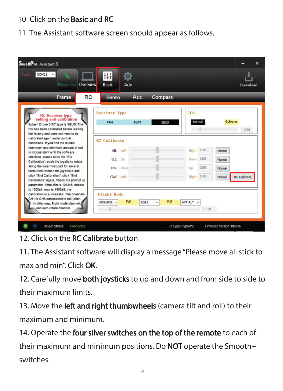#### 10. Click on the **Basic** and **RC**

11. The Assistant software screen should appear as follows.

| SwellPro Assistant 3                                                                                                                                                                                                                                                                                                                                                                                                                                                                                                                                                                                                                                                                                                                         |                                                                                                                                                          |                                  | $\overline{\mathbf{x}}$                                                                                                                                               |
|----------------------------------------------------------------------------------------------------------------------------------------------------------------------------------------------------------------------------------------------------------------------------------------------------------------------------------------------------------------------------------------------------------------------------------------------------------------------------------------------------------------------------------------------------------------------------------------------------------------------------------------------------------------------------------------------------------------------------------------------|----------------------------------------------------------------------------------------------------------------------------------------------------------|----------------------------------|-----------------------------------------------------------------------------------------------------------------------------------------------------------------------|
| $COM11$ $\vee$<br>Port:<br>$\mathbf{G}$<br><b>Disconnect</b><br>Overview                                                                                                                                                                                                                                                                                                                                                                                                                                                                                                                                                                                                                                                                     | ŧμ<br><u>to:</u><br>Basic<br>Adv                                                                                                                         |                                  | Download                                                                                                                                                              |
| RC<br>Frame                                                                                                                                                                                                                                                                                                                                                                                                                                                                                                                                                                                                                                                                                                                                  | Acc.<br>Sense                                                                                                                                            | Compass                          |                                                                                                                                                                       |
| <b>RC</b> Receiver type<br>setting and calibration<br>Splash Drone 3 RC type is SBUS. The<br>RC has been calibrated before leaving<br>the factory and does not need to be<br>calibrated again under normal<br>conditions, If you find the middle,<br>maximum and minimum amount of rod<br>is inconsistent with the software<br>interface, please click the "RC<br>Calibration", push the iovsticks rotate<br>along the outermost part for several<br>turns, then release the joysticks and<br>click "End Calibration", click "End<br>Calibration" again. Check the prompt up<br>parameter. If the Min is 1064±5, middle<br>is 1500±1, max is 1980±5, the<br>calibration is successful. The channels<br>CH1 to CH6 correspond to roll, pitch, | Receiver Type<br><b>PPM</b><br><b>PWM</b><br><b>RC</b> Calibrate<br>All Left<br><b>ELE</b><br>Up<br><b>THR</b><br>Down<br>YAW Left<br><b>Flight Hode</b> | SBUS                             | <b>ICO</b><br>GoHome<br>normal<br>1098<br>1500<br>Right<br>Normal<br>1500<br>Down<br>Normal<br>1500<br>Up<br>Normal<br>1500<br>Right<br><b>RC</b> Calibrate<br>Normal |
| throttle, yaw, flight mode channel,<br>and auto return channel.                                                                                                                                                                                                                                                                                                                                                                                                                                                                                                                                                                                                                                                                              | F/S<br>GPS-SPEE $\vee$<br>AGRI                                                                                                                           | F/S<br>ATT-ALT V<br>$\checkmark$ | 1020                                                                                                                                                                  |
| Device Status:<br>Connected                                                                                                                                                                                                                                                                                                                                                                                                                                                                                                                                                                                                                                                                                                                  |                                                                                                                                                          | Fc Type: P2proV2                 | Firmware Version: 180726                                                                                                                                              |

12. Click on the **RC Calibrate** button

11. The Assistant software will display a message "Please move all stick to

max and min" Click **OK** 

12. Carefully move **both joysticks** to up and down and from side to side to their maximum limits.

13. Move the left and right thumbwheels (camera tilt and roll) to their maximum and minimum.

14. Operate the four silver switches on the top of the remote to each of their maximum and minimum positions. Do **NOT** operate the Smooth+ switches.